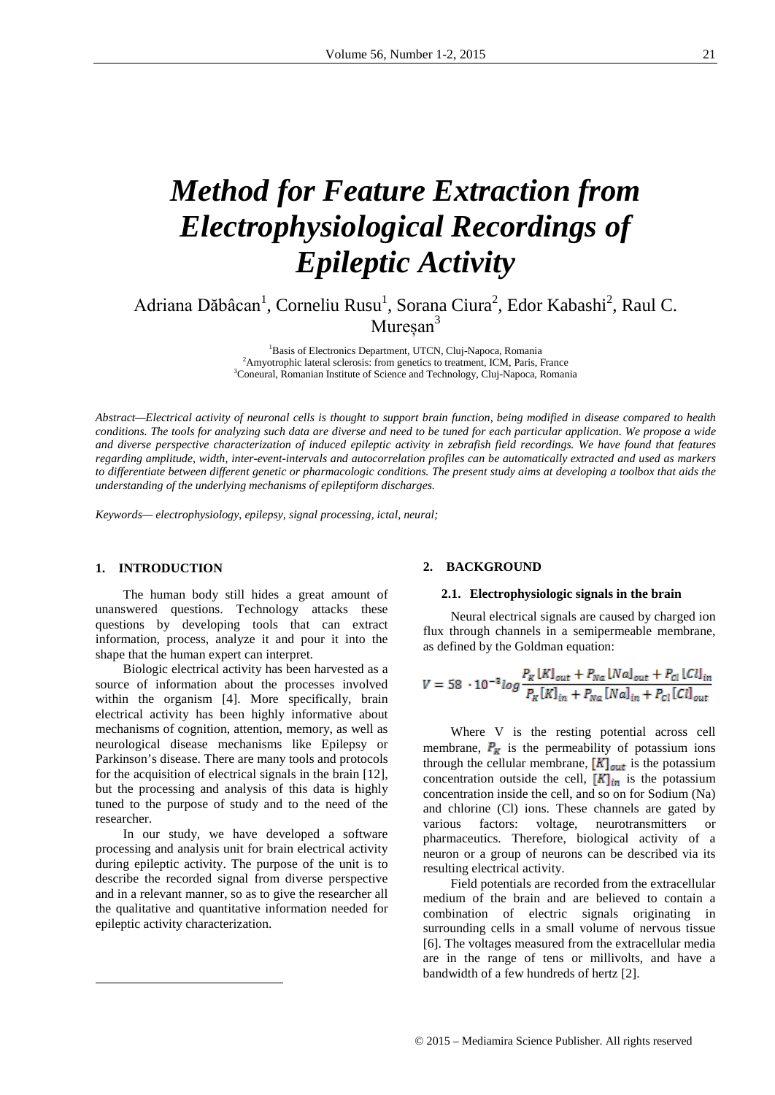# *Method for Feature Extraction from Electrophysiological Recordings of Epileptic Activity*

Adriana Dăbâcan<sup>1</sup>, Corneliu Rusu<sup>1</sup>, Sorana Ciura<sup>2</sup>, Edor Kabashi<sup>2</sup>, Raul C. Muresan<sup>3</sup>

> <sup>1</sup>Basis of Electronics Department, UTCN, Cluj-Napoca, Romania <sup>2</sup> Amyotrophic lateral sclerosis: from genetics to treatment, ICM, Paris, France <sup>3</sup>Coneural, Romanian Institute of Science and Technology, Cluj-Napoca, Romania

*Abstract—Electrical activity of neuronal cells is thought to support brain function, being modified in disease compared to health conditions. The tools for analyzing such data are diverse and need to be tuned for each particular application. We propose a wide and diverse perspective characterization of induced epileptic activity in zebrafish field recordings. We have found that features regarding amplitude, width, inter-event-intervals and autocorrelation profiles can be automatically extracted and used as markers to differentiate between different genetic or pharmacologic conditions. The present study aims at developing a toolbox that aids the understanding of the underlying mechanisms of epileptiform discharges.*

*Keywords— electrophysiology, epilepsy, signal processing, ictal, neural;*

## **1. INTRODUCTION**

<span id="page-0-0"></span>-

The human body still hides a great amount of unanswered questions. Technology attacks these questions by developing tools that can extract information, process, analyze it and pour it into the shape that the human expert can interpret.

Biologic electrical activity has been harvested as a source of information about the processes involved within the organism [4]. More specifically, brain electrical activity has been highly informative about mechanisms of cognition, attention, memory, as well as neurological disease mechanisms like Epilepsy or Parkinson's disease. There are many tools and protocols for the acquisition of electrical signals in the brain [12], but the processing and analysis of this data is highly tuned to the purpose of study and to the need of the researcher.

In our study, we have developed a software processing and analysis unit for brain electrical activity during epileptic activity. The purpose of the unit is to describe the recorded signal from diverse perspective and in a relevant manner, so as to give the researcher all the qualitative and quantitative information needed for epileptic activity characterization.

## **2. BACKGROUND**

#### **2.1. Electrophysiologic signals in the brain**

Neural electrical signals are caused by charged ion flux through channels in a semipermeable membrane, as defined by the Goldman equation:

$$
V = 58 \cdot 10^{-3} \log \frac{P_R \, [K]_{out} + P_{Na} \, [Na]_{out} + P_{Cl} \, [Cl]_{in}}{P_R \, [K]_{in} + P_{Na} \, [Na]_{in} + P_{Cl} \, [Cl]_{out}}
$$

Where V is the resting potential across cell membrane,  $\mathbb{P}_{\mathbb{H}}$  is the permeability of potassium ions through the cellular membrane,  $[K]_{out}$  is the potassium concentration outside the cell,  $[K]_{in}$  is the potassium concentration inside the cell, and so on for Sodium (Na) and chlorine (Cl) ions. These channels are gated by various factors: voltage, neurotransmitters or pharmaceutics. Therefore, biological activity of a neuron or a group of neurons can be described via its resulting electrical activity.

Field potentials are recorded from the extracellular medium of the brain and are believed to contain a combination of electric signals originating in surrounding cells in a small volume of nervous tissue [6]. The voltages measured from the extracellular media are in the range of tens or millivolts, and have a bandwidth of a few hundreds of hertz [2].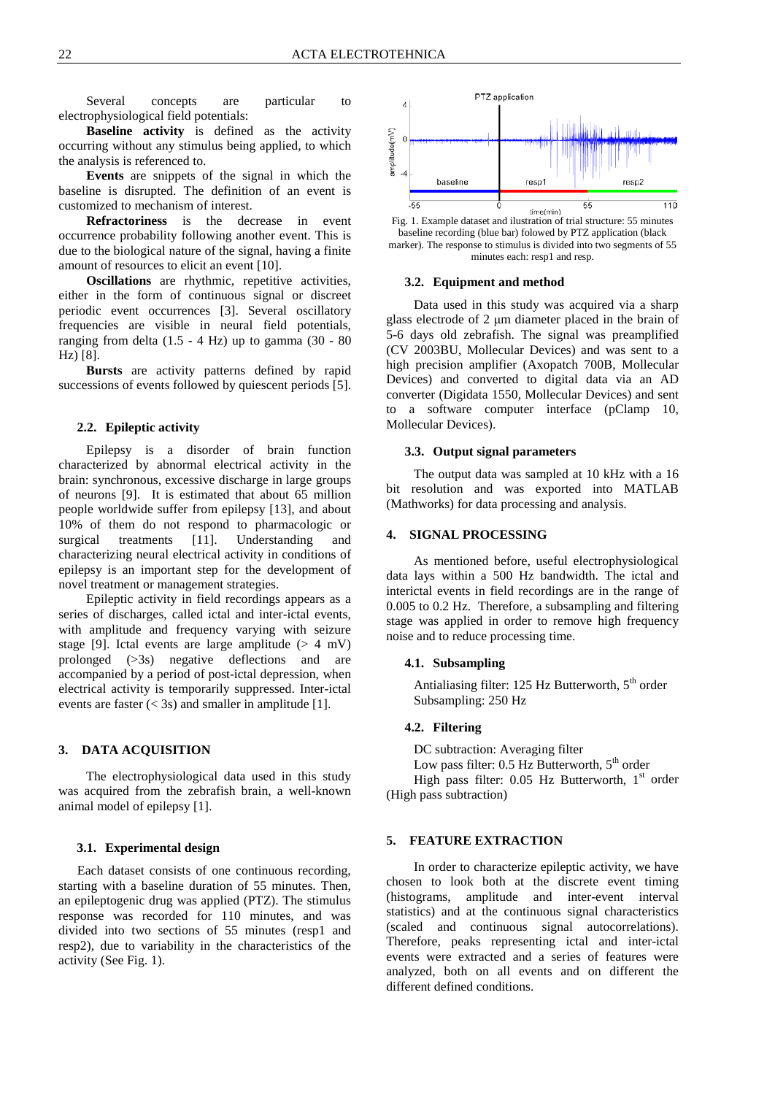Several concepts are particular to electrophysiological field potentials:

**Baseline activity** is defined as the activity occurring without any stimulus being applied, to which the analysis is referenced to.

**Events** are snippets of the signal in which the baseline is disrupted. The definition of an event is customized to mechanism of interest.

**Refractoriness** is the decrease in event occurrence probability following another event. This is due to the biological nature of the signal, having a finite amount of resources to elicit an event [10].

**Oscillations** are rhythmic, repetitive activities, either in the form of continuous signal or discreet periodic event occurrences [3]. Several oscillatory frequencies are visible in neural field potentials, ranging from delta (1.5 - 4 Hz) up to gamma (30 - 80 Hz) [8].

**Bursts** are activity patterns defined by rapid successions of events followed by quiescent periods [5].

## **2.2. Epileptic activity**

Epilepsy is a disorder of brain function characterized by abnormal electrical activity in the brain: synchronous, excessive discharge in large groups of neurons [9]. It is estimated that about 65 million people worldwide suffer from epilepsy [13], and about 10% of them do not respond to pharmacologic or surgical treatments [11]. Understanding and characterizing neural electrical activity in conditions of epilepsy is an important step for the development of novel treatment or management strategies.

Epileptic activity in field recordings appears as a series of discharges, called ictal and inter-ictal events, with amplitude and frequency varying with seizure stage [9]. Ictal events are large amplitude  $(> 4 \text{ mV})$ prolonged (>3s) negative deflections and are accompanied by a period of post-ictal depression, when electrical activity is temporarily suppressed. Inter-ictal events are faster  $(< 3s$ ) and smaller in amplitude [1].

## **3. DATA ACQUISITION**

The electrophysiological data used in this study was acquired from the zebrafish brain, a well-known animal model of epilepsy [1].

## **3.1. Experimental design**

Each dataset consists of one continuous recording, starting with a baseline duration of 55 minutes. Then, an epileptogenic drug was applied (PTZ). The stimulus response was recorded for 110 minutes, and was divided into two sections of 55 minutes (resp1 and resp2), due to variability in the characteristics of the activity (See [Fig. 1\)](#page-1-0).



<span id="page-1-0"></span>baseline recording (blue bar) folowed by PTZ application (black marker). The response to stimulus is divided into two segments of 55 minutes each: resp1 and resp.

## **3.2. Equipment and method**

Data used in this study was acquired via a sharp glass electrode of 2 μm diameter placed in the brain of 5-6 days old zebrafish. The signal was preamplified (CV 2003BU, Mollecular Devices) and was sent to a high precision amplifier (Axopatch 700B, Mollecular Devices) and converted to digital data via an AD converter (Digidata 1550, Mollecular Devices) and sent to a software computer interface (pClamp 10, Mollecular Devices).

#### **3.3. Output signal parameters**

The output data was sampled at 10 kHz with a 16 bit resolution and was exported into MATLAB (Mathworks) for data processing and analysis.

## **4. SIGNAL PROCESSING**

As mentioned before, useful electrophysiological data lays within a 500 Hz bandwidth. The ictal and interictal events in field recordings are in the range of 0.005 to 0.2 Hz. Therefore, a subsampling and filtering stage was applied in order to remove high frequency noise and to reduce processing time.

## **4.1. Subsampling**

Antialiasing filter: 125 Hz Butterworth,  $5<sup>th</sup>$  order Subsampling: 250 Hz

# **4.2. Filtering**

DC subtraction: Averaging filter

Low pass filter:  $0.5$  Hz Butterworth,  $5<sup>th</sup>$  order

High pass filter:  $0.05$  Hz Butterworth,  $1<sup>st</sup>$  order (High pass subtraction)

# **5. FEATURE EXTRACTION**

In order to characterize epileptic activity, we have chosen to look both at the discrete event timing (histograms, amplitude and inter-event interval statistics) and at the continuous signal characteristics (scaled and continuous signal autocorrelations). Therefore, peaks representing ictal and inter-ictal events were extracted and a series of features were analyzed, both on all events and on different the different defined conditions.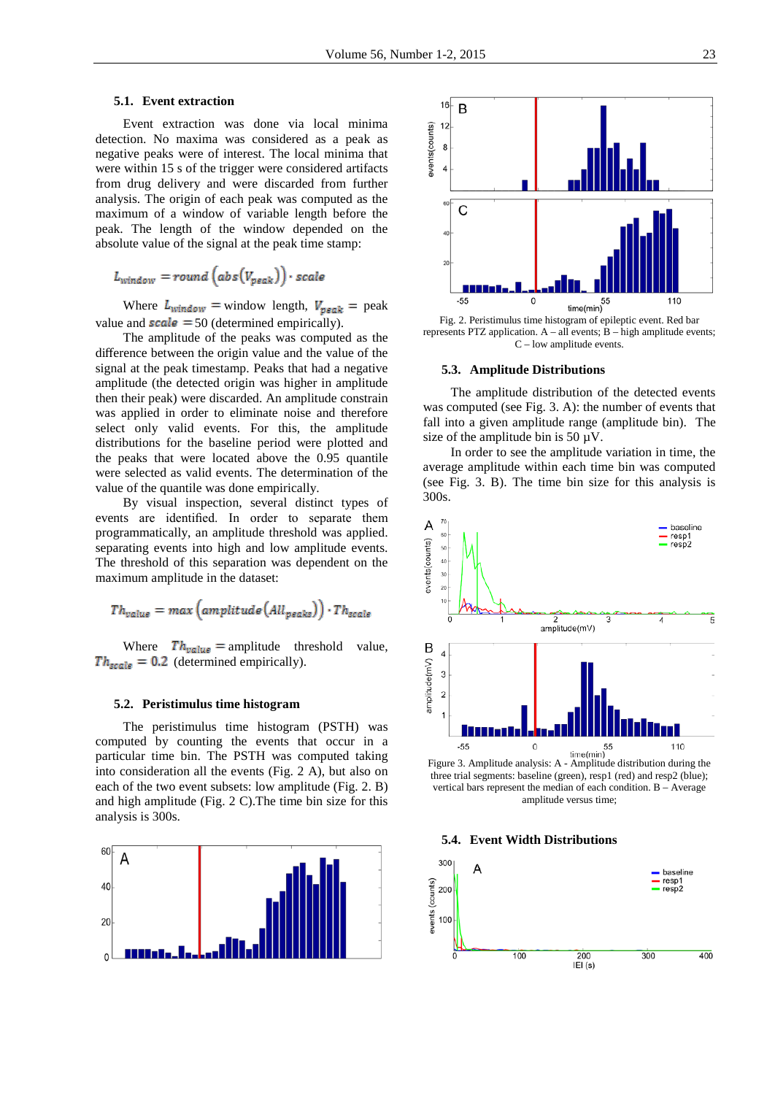#### **5.1. Event extraction**

Event extraction was done via local minima detection. No maxima was considered as a peak as negative peaks were of interest. The local minima that were within 15 s of the trigger were considered artifacts from drug delivery and were discarded from further analysis. The origin of each peak was computed as the maximum of a window of variable length before the peak. The length of the window depended on the absolute value of the signal at the peak time stamp:

$$
L_{window} = round \left( abs(V_{peak}) \right) \cdot scale
$$

Where  $L_{window}$  = window length,  $V_{peak}$  = peak value and  $scale = 50$  (determined empirically).

The amplitude of the peaks was computed as the difference between the origin value and the value of the signal at the peak timestamp. Peaks that had a negative amplitude (the detected origin was higher in amplitude then their peak) were discarded. An amplitude constrain was applied in order to eliminate noise and therefore select only valid events. For this, the amplitude distributions for the baseline period were plotted and the peaks that were located above the 0.95 quantile were selected as valid events. The determination of the value of the quantile was done empirically.

By visual inspection, several distinct types of events are identified. In order to separate them programmatically, an amplitude threshold was applied. separating events into high and low amplitude events. The threshold of this separation was dependent on the maximum amplitude in the dataset:

$$
Th_{value} = max \left( amplitude \left( All_{peaks} \right) \right) \cdot Th_{scale}
$$

Where  $Th_{value}$  = amplitude threshold value,  $Th_{\text{xcal}} = 0.2$  (determined empirically).

## **5.2. Peristimulus time histogram**

The peristimulus time histogram (PSTH) was computed by counting the events that occur in a particular time bin. The PSTH was computed taking into consideration all the events (Fig. 2 A), but also on each of the two event subsets: low amplitude (Fig. 2. B) and high amplitude (Fig. 2 C).The time bin size for this analysis is 300s.





represents PTZ application.  $A - all$  events;  $B - high$  amplitude events;  $C$  – low amplitude events.

#### **5.3. Amplitude Distributions**

The amplitude distribution of the detected events was computed (see Fig. 3. A): the number of events that fall into a given amplitude range (amplitude bin). The size of the amplitude bin is  $50 \mu V$ .

In order to see the amplitude variation in time, the average amplitude within each time bin was computed (see Fig. 3. B). The time bin size for this analysis is 300s.



<span id="page-2-0"></span>Figure 3. Amplitude analysis: A - Amplitude distribution during the three trial segments: baseline (green), resp1 (red) and resp2 (blue); vertical bars represent the median of each condition. B – Average amplitude versus time;

## **5.4. Event Width Distributions**

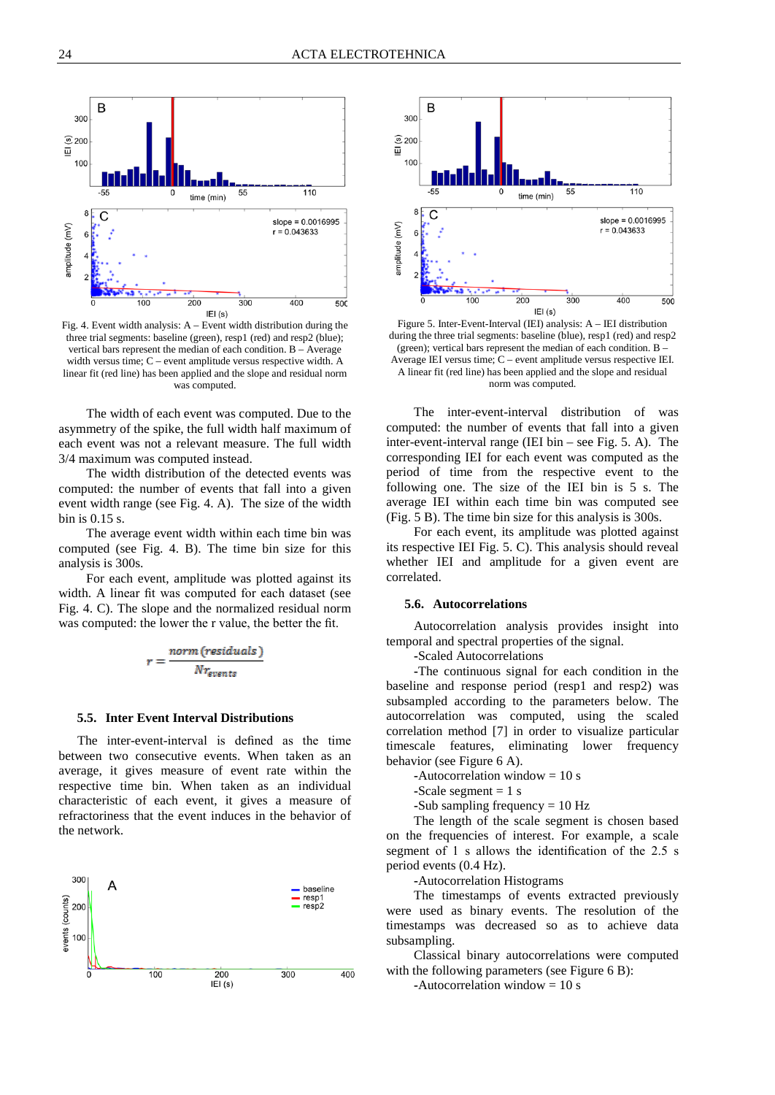

<span id="page-3-0"></span>Fig. 4. Event width analysis: A – Event width distribution during the three trial segments: baseline (green), resp1 (red) and resp2 (blue); vertical bars represent the median of each condition. B – Average width versus time; C – event amplitude versus respective width. A linear fit (red line) has been applied and the slope and residual norm was computed.

The width of each event was computed. Due to the asymmetry of the spike, the full width half maximum of each event was not a relevant measure. The full width 3/4 maximum was computed instead.

The width distribution of the detected events was computed: the number of events that fall into a given event width range (see Fig. 4. A). The size of the width bin is 0.15 s.

The average event width within each time bin was computed (see Fig. 4. B). The time bin size for this analysis is 300s.

For each event, amplitude was plotted against its width. A linear fit was computed for each dataset (see Fig. 4. C). The slope and the normalized residual norm was computed: the lower the r value, the better the fit.

$$
r = \frac{norm\left(residuals\right)}{Nr_{events}}
$$

#### **5.5. Inter Event Interval Distributions**

The inter-event-interval is defined as the time between two consecutive events. When taken as an average, it gives measure of event rate within the respective time bin. When taken as an individual characteristic of each event, it gives a measure of refractoriness that the event induces in the behavior of the network.





Figure 5. Inter-Event-Interval (IEI) analysis: A – IEI distribution during the three trial segments: baseline (blue), resp1 (red) and resp2 (green); vertical bars represent the median of each condition. B – Average IEI versus time; C – event amplitude versus respective IEI. A linear fit (red line) has been applied and the slope and residual norm was computed.

The inter-event-interval distribution of was computed: the number of events that fall into a given inter-event-interval range (IEI bin – see Fig. 5. A). The corresponding IEI for each event was computed as the period of time from the respective event to the following one. The size of the IEI bin is 5 s. The average IEI within each time bin was computed see (Fig. 5 B). The time bin size for this analysis is 300s.

For each event, its amplitude was plotted against its respective IEI Fig. 5. C). This analysis should reveal whether IEI and amplitude for a given event are correlated.

## **5.6. Autocorrelations**

Autocorrelation analysis provides insight into temporal and spectral properties of the signal.

**-**Scaled Autocorrelations

**-**The continuous signal for each condition in the baseline and response period (resp1 and resp2) was subsampled according to the parameters below. The autocorrelation was computed, using the scaled correlation method [7] in order to visualize particular timescale features, eliminating lower frequency behavior (see [Figure 6](#page-4-0) A).

**-**Autocorrelation window = 10 s

 $-Scale segment = 1$  s

**-**Sub sampling frequency = 10 Hz

The length of the scale segment is chosen based on the frequencies of interest. For example, a scale segment of 1 s allows the identification of the 2.5 s period events (0.4 Hz).

**-**Autocorrelation Histograms

The timestamps of events extracted previously were used as binary events. The resolution of the timestamps was decreased so as to achieve data subsampling.

Classical binary autocorrelations were computed with the following parameters (see [Figure 6](#page-4-0) B):

**-**Autocorrelation window = 10 s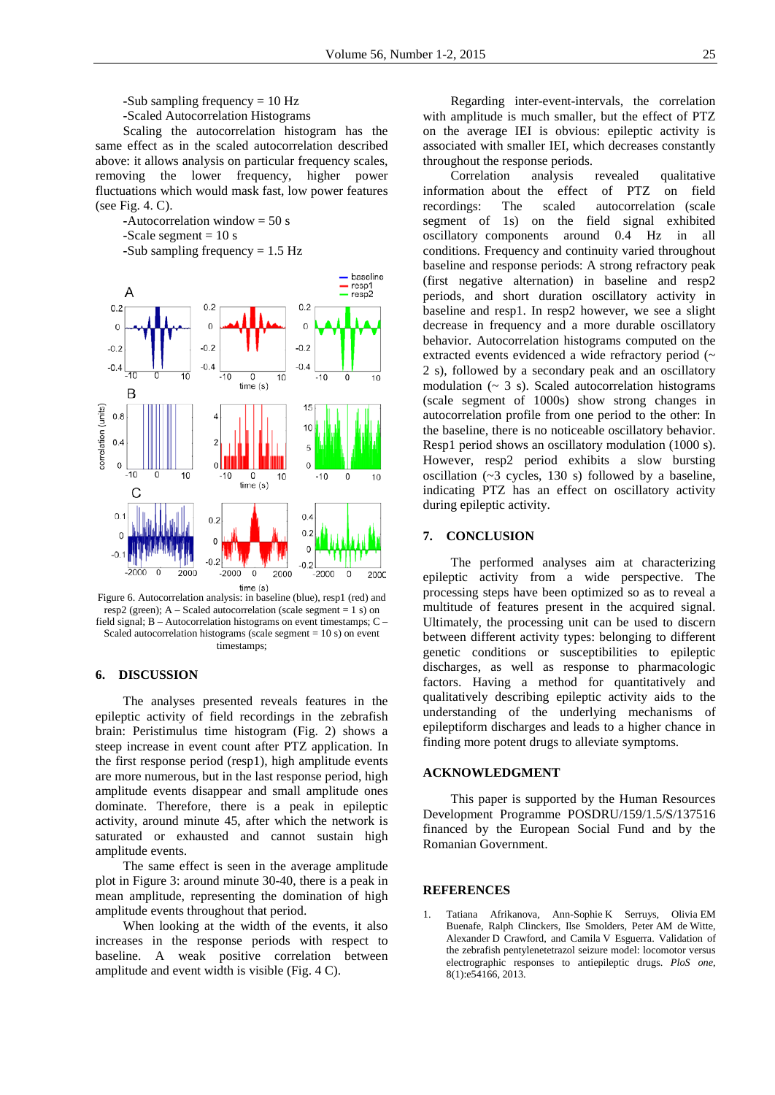**-**Sub sampling frequency = 10 Hz

**-**Scaled Autocorrelation Histograms

Scaling the autocorrelation histogram has the same effect as in the scaled autocorrelation described above: it allows analysis on particular frequency scales, removing the lower frequency, higher power fluctuations which would mask fast, low power features (see Fig. 4. C).

**-**Autocorrelation window = 50 s

 $-Scale segment = 10 s$ 

**-**Sub sampling frequency = 1.5 Hz



<span id="page-4-0"></span>Figure 6. Autocorrelation analysis: in baseline (blue), resp1 (red) and resp2 (green);  $A - S$ caled autocorrelation (scale segment = 1 s) on field signal; B – Autocorrelation histograms on event timestamps; C – Scaled autocorrelation histograms (scale segment  $= 10$  s) on event timestamps;

# **6. DISCUSSION**

The analyses presented reveals features in the epileptic activity of field recordings in the zebrafish brain: Peristimulus time histogram (Fig. 2) shows a steep increase in event count after PTZ application. In the first response period (resp1), high amplitude events are more numerous, but in the last response period, high amplitude events disappear and small amplitude ones dominate. Therefore, there is a peak in epileptic activity, around minute 45, after which the network is saturated or exhausted and cannot sustain high amplitude events.

The same effect is seen in the average amplitude plot in [Figure 3:](#page-2-0) around minute 30-40, there is a peak in mean amplitude, representing the domination of high amplitude events throughout that period.

When looking at the width of the events, it also increases in the response periods with respect to baseline. A weak positive correlation between amplitude and event width is visible [\(Fig. 4](#page-3-0) C).

Regarding inter-event-intervals, the correlation with amplitude is much smaller, but the effect of PTZ on the average IEI is obvious: epileptic activity is associated with smaller IEI, which decreases constantly throughout the response periods.

Correlation analysis revealed qualitative<br>mation about the effect of PTZ on field information about the effect of PTZ recordings: The scaled autocorrelation (scale segment of 1s) on the field signal exhibited oscillatory components around 0.4 Hz in all conditions. Frequency and continuity varied throughout baseline and response periods: A strong refractory peak (first negative alternation) in baseline and resp2 periods, and short duration oscillatory activity in baseline and resp1. In resp2 however, we see a slight decrease in frequency and a more durable oscillatory behavior. Autocorrelation histograms computed on the extracted events evidenced a wide refractory period (~ 2 s), followed by a secondary peak and an oscillatory modulation  $($   $\sim$  3 s). Scaled autocorrelation histograms (scale segment of 1000s) show strong changes in autocorrelation profile from one period to the other: In the baseline, there is no noticeable oscillatory behavior. Resp1 period shows an oscillatory modulation (1000 s). However, resp2 period exhibits a slow bursting oscillation (~3 cycles, 130 s) followed by a baseline, indicating PTZ has an effect on oscillatory activity during epileptic activity.

# **7. CONCLUSION**

The performed analyses aim at characterizing epileptic activity from a wide perspective. The processing steps have been optimized so as to reveal a multitude of features present in the acquired signal. Ultimately, the processing unit can be used to discern between different activity types: belonging to different genetic conditions or susceptibilities to epileptic discharges, as well as response to pharmacologic factors. Having a method for quantitatively and qualitatively describing epileptic activity aids to the understanding of the underlying mechanisms of epileptiform discharges and leads to a higher chance in finding more potent drugs to alleviate symptoms.

## **ACKNOWLEDGMENT**

This paper is supported by the Human Resources Development Programme POSDRU/159/1.5/S/137516 financed by the European Social Fund and by the Romanian Government.

### **REFERENCES**

1. Tatiana Afrikanova, Ann-Sophie K Serruys, Olivia EM Buenafe, Ralph Clinckers, Ilse Smolders, Peter AM de Witte, Alexander D Crawford, and Camila V Esguerra. Validation of the zebrafish pentylenetetrazol seizure model: locomotor versus electrographic responses to antiepileptic drugs. *PloS one*, 8(1):e54166, 2013.